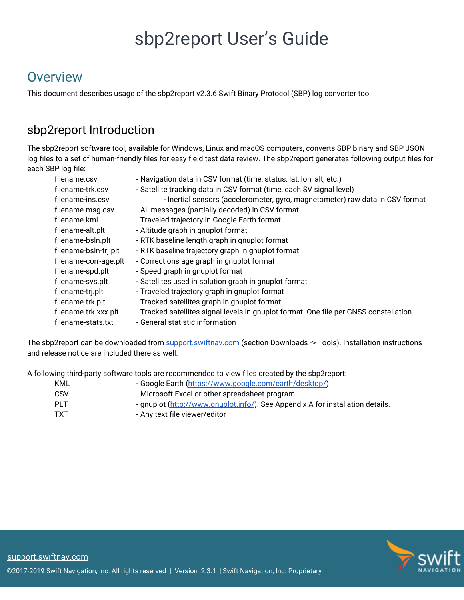# sbp2report User's Guide

# **Overview**

This document describes usage of the sbp2report v2.3.6 Swift Binary Protocol (SBP) log converter tool.

### sbp2report Introduction

The sbp2report software tool, available for Windows, Linux and macOS computers, converts SBP binary and SBP JSON log files to a set of human-friendly files for easy field test data review. The sbp2report generates following output files for each SBP log file:

| filename.csv          | - Navigation data in CSV format (time, status, lat, lon, alt, etc.)                    |
|-----------------------|----------------------------------------------------------------------------------------|
| filename-trk.csv      | - Satellite tracking data in CSV format (time, each SV signal level)                   |
| filename-ins.csv      | - Inertial sensors (accelerometer, gyro, magnetometer) raw data in CSV format          |
| filename-msg.csv      | - All messages (partially decoded) in CSV format                                       |
| filename.kml          | - Traveled trajectory in Google Earth format                                           |
| filename-alt.plt      | - Altitude graph in gnuplot format                                                     |
| filename-bsln.plt     | - RTK baseline length graph in gnuplot format                                          |
| filename-bsln-trj.plt | - RTK baseline trajectory graph in gnuplot format                                      |
| filename-corr-age.plt | - Corrections age graph in gnuplot format                                              |
| filename-spd.plt      | - Speed graph in gnuplot format                                                        |
| filename-svs.plt      | - Satellites used in solution graph in gnuplot format                                  |
| filename-trj.plt      | - Traveled trajectory graph in gnuplot format                                          |
| filename-trk.plt      | - Tracked satellites graph in gnuplot format                                           |
| filename-trk-xxx.plt  | - Tracked satellites signal levels in gnuplot format. One file per GNSS constellation. |
| filename-stats.txt    | - General statistic information                                                        |
|                       |                                                                                        |

The sbp2report can be downloaded from [support.swiftnav.com](https://support.swiftnav.com/) (section Downloads -> Tools). Installation instructions and release notice are included there as well.

A following third-party software tools are recommended to view files created by the sbp2report:

| KML  | - Google Earth (https://www.google.com/earth/desktop/)                         |
|------|--------------------------------------------------------------------------------|
| CSV  | - Microsoft Excel or other spreadsheet program                                 |
| PI T | - gnuplot (http://www.gnuplot.info/). See Appendix A for installation details. |
| TXT  | - Any text file viewer/editor                                                  |

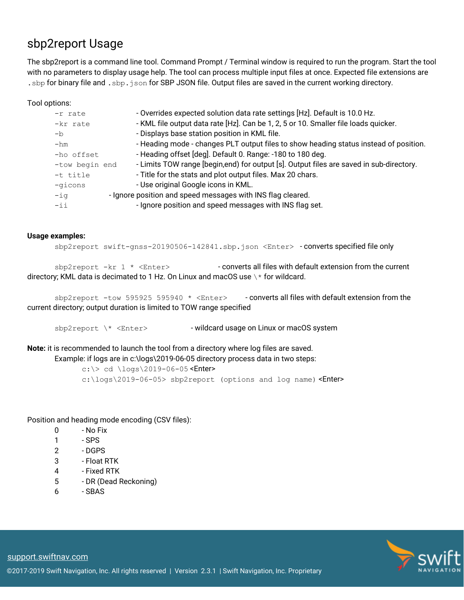### sbp2report Usage

The sbp2report is a command line tool. Command Prompt / Terminal window is required to run the program. Start the tool with no parameters to display usage help. The tool can process multiple input files at once. Expected file extensions are .sbp for binary file and .sbp.json for SBP JSON file. Output files are saved in the current working directory.

Tool options:

| $-r$ rate      | - Overrides expected solution data rate settings [Hz]. Default is 10.0 Hz.               |
|----------------|------------------------------------------------------------------------------------------|
| -kr rate       | - KML file output data rate [Hz]. Can be 1, 2, 5 or 10. Smaller file loads quicker.      |
| $-h$           | - Displays base station position in KML file.                                            |
| $-hm$          | - Heading mode - changes PLT output files to show heading status instead of position.    |
| -ho offset     | - Heading offset [deg]. Default 0. Range: -180 to 180 deg.                               |
| -tow begin end | - Limits TOW range [begin, end) for output [s]. Output files are saved in sub-directory. |
| -t title       | - Title for the stats and plot output files. Max 20 chars.                               |
| -gicons        | - Use original Google icons in KML.                                                      |
| $-iq$          | - Ignore position and speed messages with INS flag cleared.                              |
| $-ii$          | - Ignore position and speed messages with INS flag set.                                  |
|                |                                                                                          |

#### **Usage examples:**

sbp2report swift-gnss-20190506-142841.sbp.json <Enter> - converts specified file only

 $sbp2report -kr 1 *$ directory; KML data is decimated to 1 Hz. On Linux and macOS use \\* for wildcard.

sbp2report -tow 595925 595940 \* <Enter> - converts all files with default extension from the current directory; output duration is limited to TOW range specified

sbp2report \\* <Enter> - wildcard usage on Linux or macOS system

**Note:** it is recommended to launch the tool from a directory where log files are saved.

Example: if logs are in c:\logs\2019-06-05 directory process data in two steps:

 $c:\rangle > cd \setminus \text{logs} \2019-06-05$  <Enter> c:\logs\2019-06-05> sbp2report (options and log name) <Enter>

Position and heading mode encoding (CSV files):

- 0 No Fix
- 1 SPS
- 2 DGPS
- 3 Float RTK
- 4 Fixed RTK
- 5 DR (Dead Reckoning)
- 6 SBAS

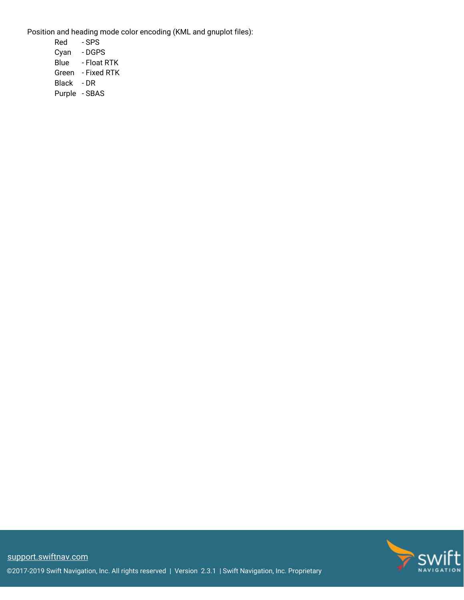Position and heading mode color encoding (KML and gnuplot files):

Red - SPS Cyan - DGPS Blue - Float RTK Green - Fixed RTK Black - DR Purple - SBAS

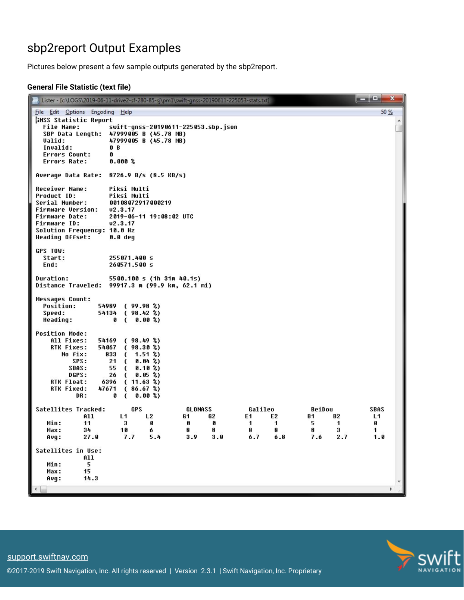### sbp2report Output Examples

Pictures below present a few sample outputs generated by the sbp2report.

#### **General File Statistic (text file)**

| 50 %<br>File Edit Options Encoding Help<br><b>GNSS Statistic Report</b><br>File Name:<br>swift-qnss-20190611-225053.sbp.json<br>47999005 B (45.78 MB)<br>SBP Data Length:<br>Valid:<br>47999005 B (45.78 MB)<br>Invalid:<br>0 B<br>Errors Count:<br>Ø<br>Errors Rate:<br>0.000 <sup>o</sup><br>Average Data Rate:<br>8726.9 B/s (8.5 KB/s)<br><b>Receiver Name:</b><br>Piksi Multi<br>Product ID:<br>Piksi Multi<br>Serial Number:<br>00108072917000219<br>Firmware Version:<br>02.3.17<br>Firmware Date:<br>2019-06-11 19:08:02 UTC<br>Firmware ID:<br>02.3.17<br>Solution Frequency: 10.0 Hz<br>Heading Offset:<br>0.0 deq<br>GPS TOW:<br>Start:<br>255071.400 s<br>End:<br>260571.500 s<br><b>Duration:</b><br>5500.100 s (1h 31m 40.1s)<br>Distance Traveled: 99917.3 m (99.9 km, 62.1 mi)<br><b>Messages Count:</b><br><b>Position:</b><br>54989 (99.98 %)<br>Speed:<br>54134 (98.42 %)<br>Heading:<br>0.00%<br>Ø<br><b>Position Mode:</b><br>All Fixes:<br>54169 (98.49 %)<br>RTK Fixes:<br>54067 (98.30 %)<br>(1.51%)<br>No fix:<br>833<br>SPS:<br>21<br>$0.04$ %)<br>$\epsilon$<br><b>SBAS:</b><br>55 (<br>$0.10$ %)<br>DGPS:<br>0.05 <sub>8</sub><br>26<br>$\epsilon$<br><b>RTK Float:</b><br>6396<br>$(11.63 \text{ %})$<br>RTK Fixed:<br>47671<br>(86.67%)<br>0.00%<br>DR:<br>Ø<br>-6<br>Satellites Tracked:<br>GPS<br>Galileo<br>BeiDou<br><b>SBAS</b><br>GLONASS<br>A11<br>L1<br>L <sub>2</sub><br>G1<br>G2<br>E1<br>E2<br>B1<br><b>B2</b><br>L1<br>Min:<br>11<br>з<br>0<br>0<br>1<br>1<br>5<br>1<br>o<br>o<br>6<br>8<br>8<br>8<br>3<br>1.<br>34<br>10<br>8<br>8<br>Max:<br>7.7<br>3.9<br>6.7<br>7.6<br>Avg:<br>27.0<br>5.4<br>3.0<br>6.8<br>2.7<br>1.0<br>Satellites in Use:<br>All<br>Min:<br>5<br>Max:<br>15 | Lister - [c:\LOGS\2019-06-11-drive2-sf-280-85-sj\pm1\swift-gnss-20190611-225053-stats.txt] | ang Cal<br>$\mathbf{x}$ |
|------------------------------------------------------------------------------------------------------------------------------------------------------------------------------------------------------------------------------------------------------------------------------------------------------------------------------------------------------------------------------------------------------------------------------------------------------------------------------------------------------------------------------------------------------------------------------------------------------------------------------------------------------------------------------------------------------------------------------------------------------------------------------------------------------------------------------------------------------------------------------------------------------------------------------------------------------------------------------------------------------------------------------------------------------------------------------------------------------------------------------------------------------------------------------------------------------------------------------------------------------------------------------------------------------------------------------------------------------------------------------------------------------------------------------------------------------------------------------------------------------------------------------------------------------------------------------------------------------------------------------------------------------------------------------------------------------------------------------|--------------------------------------------------------------------------------------------|-------------------------|
|                                                                                                                                                                                                                                                                                                                                                                                                                                                                                                                                                                                                                                                                                                                                                                                                                                                                                                                                                                                                                                                                                                                                                                                                                                                                                                                                                                                                                                                                                                                                                                                                                                                                                                                              |                                                                                            |                         |
|                                                                                                                                                                                                                                                                                                                                                                                                                                                                                                                                                                                                                                                                                                                                                                                                                                                                                                                                                                                                                                                                                                                                                                                                                                                                                                                                                                                                                                                                                                                                                                                                                                                                                                                              |                                                                                            |                         |
|                                                                                                                                                                                                                                                                                                                                                                                                                                                                                                                                                                                                                                                                                                                                                                                                                                                                                                                                                                                                                                                                                                                                                                                                                                                                                                                                                                                                                                                                                                                                                                                                                                                                                                                              |                                                                                            |                         |
|                                                                                                                                                                                                                                                                                                                                                                                                                                                                                                                                                                                                                                                                                                                                                                                                                                                                                                                                                                                                                                                                                                                                                                                                                                                                                                                                                                                                                                                                                                                                                                                                                                                                                                                              |                                                                                            |                         |
|                                                                                                                                                                                                                                                                                                                                                                                                                                                                                                                                                                                                                                                                                                                                                                                                                                                                                                                                                                                                                                                                                                                                                                                                                                                                                                                                                                                                                                                                                                                                                                                                                                                                                                                              | 14.3<br>Avg:                                                                               |                         |

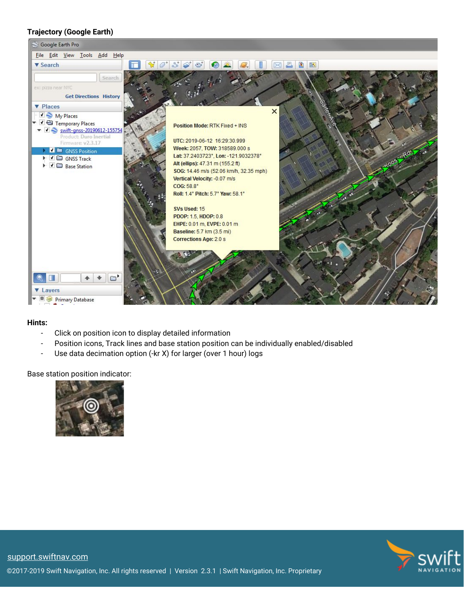#### **Trajectory (Google Earth)**



#### **Hints:**

- Click on position icon to display detailed information
- Position icons, Track lines and base station position can be individually enabled/disabled
- Use data decimation option (-kr X) for larger (over 1 hour) logs

Base station position indicator:



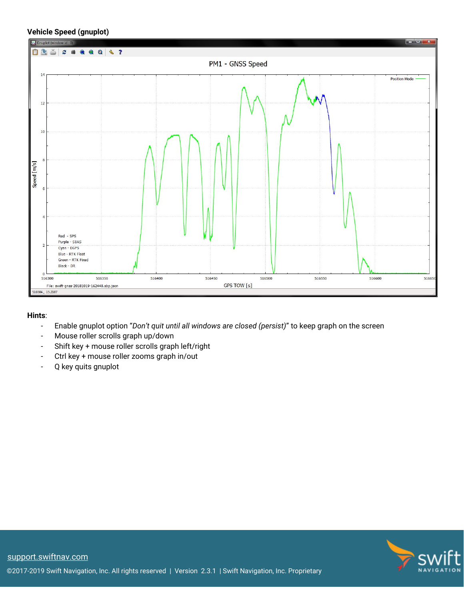#### **Vehicle Speed (gnuplot)**



#### **Hints**:

- Enable gnuplot option "*Don't quit until all windows are closed (persist)*" to keep graph on the screen
- Mouse roller scrolls graph up/down
- Shift key + mouse roller scrolls graph left/right
- Ctrl key + mouse roller zooms graph in/out
- Q key quits gnuplot

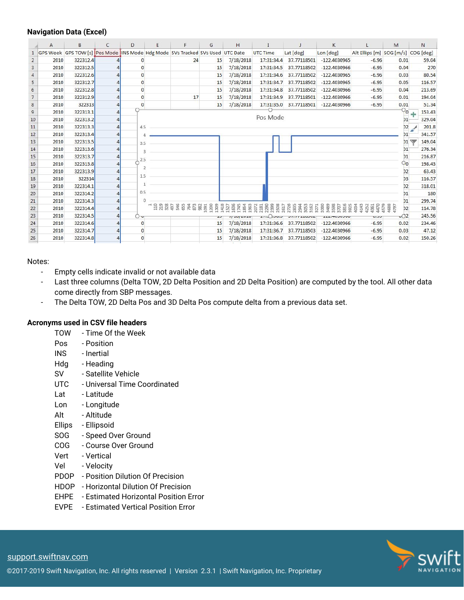#### **Navigation Data (Excel)**

|                | A    | B        | $\mathsf{C}$ | D              | E | F                                                                             | G  | H                                            |                                                               |             | K                        |                                    | M                     | N           |
|----------------|------|----------|--------------|----------------|---|-------------------------------------------------------------------------------|----|----------------------------------------------|---------------------------------------------------------------|-------------|--------------------------|------------------------------------|-----------------------|-------------|
| $\mathbf{1}$   |      |          |              |                |   | GPS Week GPS TOW [s] Pos Mode INS Mode Hdg Mode SVs Tracked SVs Used UTC Date |    |                                              | UTC Time                                                      | Lat [deg]   | Lon [deg]                | Alt Ellips [m] SOG [m/s] COG [deg] |                       |             |
| $\overline{2}$ | 2010 | 322312.4 |              |                |   | 24                                                                            | 15 | 7/18/2018                                    | 17:31:34.4                                                    | 37.77118501 | $-122.4030965$           | $-6.96$                            | 0.01                  | 59.04       |
| 3              | 2010 | 322312.5 |              | O              |   |                                                                               | 15 | 7/18/2018                                    | 17:31:34.5                                                    | 37.77118502 | $-122.4030966$           | $-6.95$                            | 0.04                  | 270         |
| 4              | 2010 | 322312.6 |              |                |   |                                                                               | 15 | 7/18/2018                                    | 17:31:34.6                                                    | 37.77118502 | $-122.4030965$           | $-6.96$                            | 0.03                  | 80.54       |
| 5              | 2010 | 322312.7 |              | $\Omega$       |   |                                                                               | 15 | 7/18/2018                                    | 17:31:34.7                                                    | 37.77118502 | $-122.4030965$           | $-6.95$                            | 0.05                  | 116.57      |
| 6              | 2010 | 322312.8 |              | $\Omega$       |   |                                                                               | 15 | 7/18/2018                                    | 17:31:34.8                                                    | 37.77118502 | $-122.4030966$           | $-6.95$                            | 0.04                  | 213.69      |
| $\overline{7}$ | 2010 | 322312.9 |              | $\Omega$       |   | 17                                                                            | 15 | 7/18/2018                                    | 17:31:34.9                                                    | 37.77118501 | $-122.4030966$           | $-6.95$                            | 0.01                  | 194.04      |
| $\bf 8$        | 2010 | 322313   |              | $\mathbf 0$    |   |                                                                               | 15 | 7/18/2018                                    | 17:31:35.0                                                    | 37.77118501 | $-122.4030966$           | $-6.95$                            | 0.01                  | 51.34       |
| $\overline{9}$ | 2010 | 322313.1 |              |                |   |                                                                               |    |                                              |                                                               |             |                          |                                    | 'O                    | 153.43<br>÷ |
| 10             | 2010 | 322313.2 |              |                |   |                                                                               |    |                                              | Pos Mode                                                      |             |                          |                                    | D1                    | 329.04      |
| 11             | 2010 | 322313.3 |              | 4.5            |   |                                                                               |    |                                              |                                                               |             |                          |                                    | D2                    | 201.8       |
| 12             | 2010 | 322313.4 |              |                |   |                                                                               |    |                                              |                                                               |             |                          |                                    |                       | 341.57      |
| 13             | 2010 | 322313.5 |              | 3.5            |   |                                                                               |    |                                              |                                                               |             |                          |                                    | D1                    | 149.04      |
| 14             | 2010 | 322313.6 |              | 3              |   |                                                                               |    |                                              |                                                               |             |                          |                                    | 01                    | 276.34      |
| 15             | 2010 | 322313.7 |              | 2.5            |   |                                                                               |    |                                              |                                                               |             |                          |                                    | D1                    | 216.87      |
| 16             | 2010 | 322313.8 |              |                |   |                                                                               |    |                                              |                                                               |             |                          |                                    | 20                    | 198.43      |
| 17             | 2010 | 322313.9 |              |                |   |                                                                               |    |                                              |                                                               |             |                          |                                    | D2                    | 63.43       |
| 18             | 2010 | 322314   |              | 1.5            |   |                                                                               |    |                                              |                                                               |             |                          |                                    | D3                    | 116.57      |
| 19             | 2010 | 322314.1 |              |                |   |                                                                               |    |                                              |                                                               |             |                          |                                    | D2                    | 318.01      |
| 20             | 2010 | 322314.2 |              | 0.5            |   |                                                                               |    |                                              |                                                               |             |                          |                                    | D1                    | 180         |
| 21             | 2010 | 322314.3 |              |                |   |                                                                               |    |                                              |                                                               |             |                          |                                    | 01                    | 299.74      |
| 22             | 2010 | 322314.4 |              |                |   | <b>ERREXEESSER</b>                                                            |    | 1418<br>1527<br>1636<br>1745<br>1854<br>1963 | 2181<br>229<br>250<br>250<br>250<br>272<br>283<br>283<br>1072 |             | <b>ASSES</b><br>ASSESSES | 4470<br>4579                       | 479<br>D <sub>2</sub> | 114.78      |
| 23             | 2010 | 322314.5 |              | ∩⊸             |   |                                                                               |    | $11 - 401 - 40 + 60$                         | 11.00000                                                      | 7111120002  | <b>ALLITUUUJUU</b>       | いいつ                                | $\sqrt{2}$            | 245.56      |
| 24             | 2010 | 322314.6 |              | $\mathbf 0$    |   |                                                                               | 15 | 7/18/2018                                    | 17:31:36.6                                                    | 37.77118502 | $-122.4030966$           | $-6.95$                            | 0.02                  | 234.46      |
| 25             | 2010 | 322314.7 |              | $\mathbf 0$    |   |                                                                               | 15 | 7/18/2018                                    | 17:31:36.7                                                    | 37.77118503 | $-122,4030966$           | $-6.95$                            | 0.03                  | 47.12       |
| 26             | 2010 | 322314.8 |              | $\overline{0}$ |   |                                                                               | 15 | 7/18/2018                                    | 17:31:36.8                                                    |             | 37.77118502 -122.4030966 | $-6.95$                            | 0.02                  | 150.26      |

#### Notes:

- Empty cells indicate invalid or not available data
- Last three columns (Delta TOW, 2D Delta Position and 2D Delta Position) are computed by the tool. All other data come directly from SBP messages.
- The Delta TOW, 2D Delta Pos and 3D Delta Pos compute delta from a previous data set.

#### **Acronyms used in CSV file headers**

- TOW Time Of the Week
- Pos Position
- INS Inertial
- Hdg Heading
- SV Satellite Vehicle
- UTC Universal Time Coordinated
- Lat Latitude
- Lon Longitude
- Alt Altitude
- Ellips Ellipsoid
- SOG Speed Over Ground
- COG Course Over Ground
- Vert Vertical
- Vel Velocity
- PDOP Position Dilution Of Precision
- HDOP Horizontal Dilution Of Precision
- EHPE Estimated Horizontal Position Error
- EVPE Estimated Vertical Position Error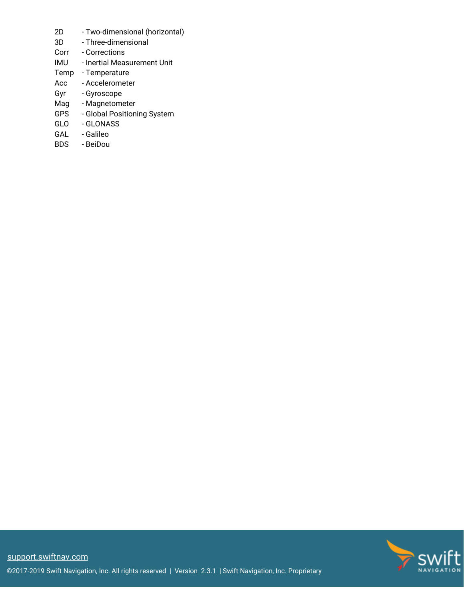- 2D Two-dimensional (horizontal)
- 3D Three-dimensional
- Corr Corrections
- IMU Inertial Measurement Unit
- Temp Temperature
- Acc Accelerometer
- Gyr Gyroscope
- Mag Magnetometer
- GPS Global Positioning System
- GLO GLONASS
- GAL Galileo
- BDS BeiDou